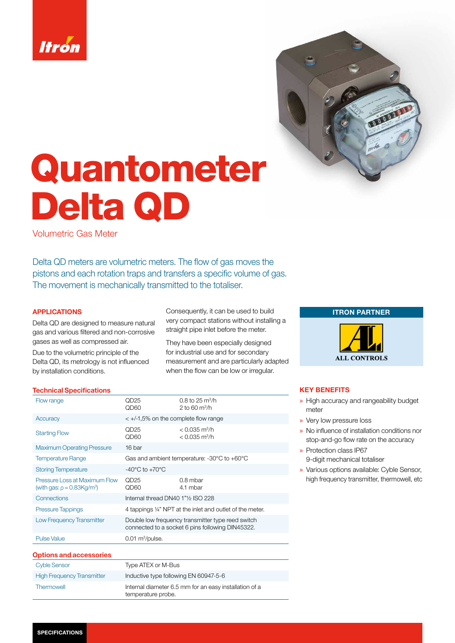



# Quantometer Delta QD

Volumetric Gas Meter

Delta QD meters are volumetric meters. The flow of gas moves the pistons and each rotation traps and transfers a specific volume of gas. The movement is mechanically transmitted to the totaliser.

## APPLICATIONS

Delta QD are designed to measure natural gas and various filtered and non-corrosive gases as well as compressed air.

Due to the volumetric principle of the Delta QD, its metrology is not influenced by installation conditions.

Consequently, it can be used to build very compact stations without installing a straight pipe inlet before the meter.

They have been especially designed for industrial use and for secondary measurement and are particularly adapted when the flow can be low or irregular.

#### Technical Specifications

| Flow range                                                                | QD25<br>QD60                                                                                          | 0.8 to 25 $m^3/h$<br>2 to 60 $\rm m^3/h$                      |  |  |  |
|---------------------------------------------------------------------------|-------------------------------------------------------------------------------------------------------|---------------------------------------------------------------|--|--|--|
| Accuracy                                                                  | $\lt$ +/-1,5% on the complete flow range                                                              |                                                               |  |  |  |
| <b>Starting Flow</b>                                                      | QD <sub>25</sub><br>QD60                                                                              | $< 0.035$ m <sup>3</sup> /h<br>$< 0.035 \text{ m}^3/\text{h}$ |  |  |  |
| <b>Maximum Operating Pressure</b>                                         | 16 bar                                                                                                |                                                               |  |  |  |
| <b>Temperature Range</b>                                                  | Gas and ambient temperature: $-30^{\circ}$ C to $+60^{\circ}$ C                                       |                                                               |  |  |  |
| <b>Storing Temperature</b>                                                | -40 $^{\circ}$ C to +70 $^{\circ}$ C                                                                  |                                                               |  |  |  |
| Pressure Loss at Maximum Flow<br>(with gas: $\rho = 0.83 \text{Kg/m}^3$ ) | OD25<br>QD60                                                                                          | $0.8$ mbar<br>4.1 mbar                                        |  |  |  |
| Connections                                                               | Internal thread DN40 1"1/2 ISO 228                                                                    |                                                               |  |  |  |
| <b>Pressure Tappings</b>                                                  | 4 tappings 1/4" NPT at the inlet and outlet of the meter.                                             |                                                               |  |  |  |
| <b>Low Frequency Transmitter</b>                                          | Double low frequency transmitter type reed switch<br>connected to a socket 6 pins following DIN45322. |                                                               |  |  |  |
| <b>Pulse Value</b>                                                        | $0.01 \text{ m}^3/\text{pulse}$ .                                                                     |                                                               |  |  |  |

# Options and accessories

| Cyble Sensor                      | Type ATEX or M-Bus                                                           |
|-----------------------------------|------------------------------------------------------------------------------|
| <b>High Frequency Transmitter</b> | Inductive type following EN 60947-5-6                                        |
| Thermowell                        | Internal diameter 6.5 mm for an easy installation of a<br>temperature probe. |





## KEY BENEFITS

- » High accuracy and rangeability budget meter
- » Very low pressure loss
- » No influence of installation conditions nor stop-and-go flow rate on the accuracy
- » Protection class IP67 9-digit mechanical totaliser
- » Various options available: Cyble Sensor, high frequency transmitter, thermowell, etc